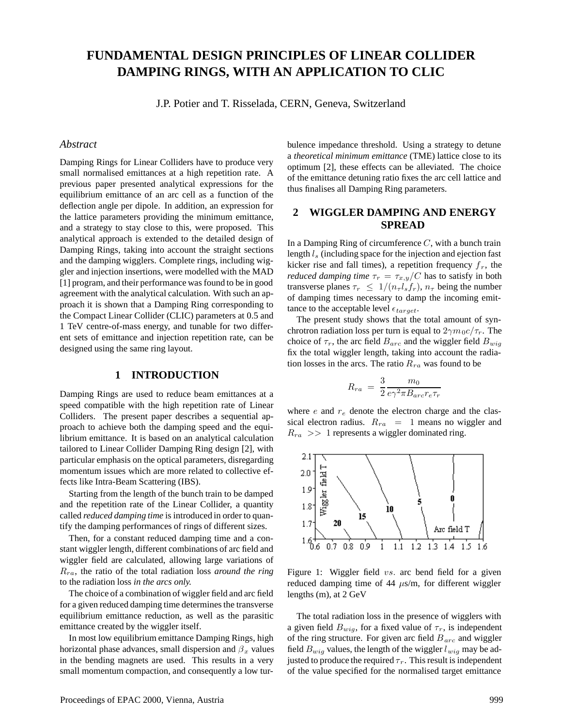# **FUNDAMENTAL DESIGN PRINCIPLES OF LINEAR COLLIDER DAMPING RINGS, WITH AN APPLICATION TO CLIC**

J.P. Potier and T. Risselada, CERN, Geneva, Switzerland

#### *Abstract*

Damping Rings for Linear Colliders have to produce very small normalised emittances at a high repetition rate. A previous paper presented analytical expressions for the equilibrium emittance of an arc cell as a function of the deflection angle per dipole. In addition, an expression for the lattice parameters providing the minimum emittance, and a strategy to stay close to this, were proposed. This analytical approach is extended to the detailed design of Damping Rings, taking into account the straight sections and the damping wigglers. Complete rings, including wiggler and injection insertions, were modelled with the MAD [1] program, and their performance was found to be in good agreement with the analytical calculation. With such an approach it is shown that a Damping Ring corresponding to the Compact Linear Collider (CLIC) parameters at 0.5 and 1 TeV centre-of-mass energy, and tunable for two different sets of emittance and injection repetition rate, can be designed using the same ring layout.

#### **1 INTRODUCTION**

Damping Rings are used to reduce beam emittances at a speed compatible with the high repetition rate of Linear Colliders. The present paper describes a sequential approach to achieve both the damping speed and the equilibrium emittance. It is based on an analytical calculation tailored to Linear Collider Damping Ring design [2], with particular emphasis on the optical parameters, disregarding momentum issues which are more related to collective effects like Intra-Beam Scattering (IBS).

Starting from the length of the bunch train to be damped and the repetition rate of the Linear Collider, a quantity called *reduced damping time* is introduced in order to quantify the damping performances of rings of different sizes.

Then, for a constant reduced damping time and a constant wiggler length, different combinations of arc field and wiggler field are calculated, allowing large variations of Rra, the ratio of the total radiation loss *around the ring* to the radiation loss *in the arcs only.*

The choice of a combination of wiggler field and arc field for a given reduced damping time determines the transverse equilibrium emittance reduction, as well as the parasitic emittance created by the wiggler itself.

In most low equilibrium emittance Damping Rings, high horizontal phase advances, small dispersion and  $\beta_x$  values in the bending magnets are used. This results in a very small momentum compaction, and consequently a low turbulence impedance threshold. Using a strategy to detune a *theoretical minimum emittance* (TME) lattice close to its optimum [2], these effects can be alleviated. The choice of the emittance detuning ratio fixes the arc cell lattice and thus finalises all Damping Ring parameters.

# **2 WIGGLER DAMPING AND ENERGY SPREAD**

In a Damping Ring of circumference  $C$ , with a bunch train length  $l_s$  (including space for the injection and ejection fast kicker rise and fall times), a repetition frequency  $f<sub>r</sub>$ , the *reduced damping time*  $\tau_r = \tau_{x,y}/C$  has to satisfy in both transverse planes  $\tau_r \leq 1/(n_{\tau} l_s f_r)$ ,  $n_{\tau}$  being the number of damping times necessary to damp the incoming emittance to the acceptable level  $\epsilon_{target}$ .

The present study shows that the total amount of synchrotron radiation loss per turn is equal to  $2\gamma m_0 c / \tau_r$ . The choice of  $\tau_r$ , the arc field  $B_{arc}$  and the wiggler field  $B_{wig}$ fix the total wiggler length, taking into account the radiation losses in the arcs. The ratio  $R_{ra}$  was found to be

$$
R_{ra} = \frac{3}{2} \frac{m_0}{e\gamma^2 \pi B_{arc} r_e \tau_r}
$$

where  $e$  and  $r_e$  denote the electron charge and the classical electron radius.  $R_{ra}$  = 1 means no wiggler and  $R_{ra}$  >> 1 represents a wiggler dominated ring.



Figure 1: Wiggler field *vs.* arc bend field for a given reduced damping time of 44  $\mu$ s/m, for different wiggler lengths (m), at 2 GeV

The total radiation loss in the presence of wigglers with a given field  $B_{wig}$ , for a fixed value of  $\tau_r$ , is independent of the ring structure. For given arc field  $B_{arc}$  and wiggler field  $B_{wig}$  values, the length of the wiggler  $l_{wig}$  may be adjusted to produce the required  $\tau_r$ . This result is independent of the value specified for the normalised target emittance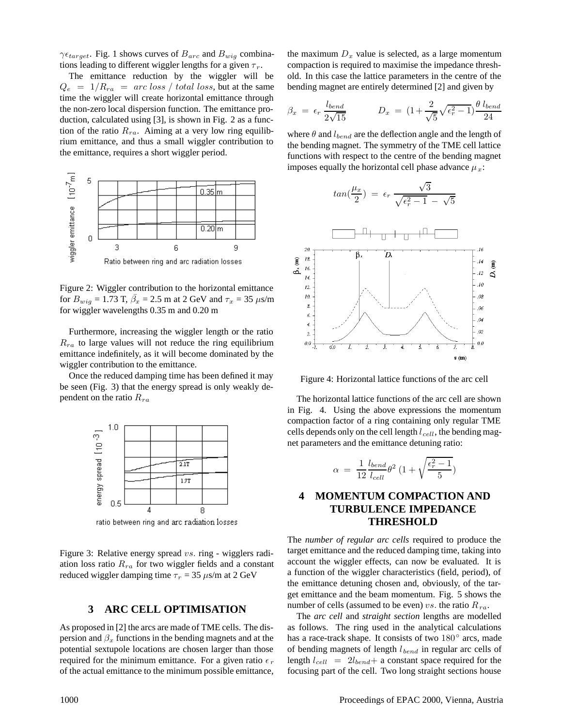$\gamma \epsilon_{target}$ . Fig. 1 shows curves of  $B_{arc}$  and  $B_{wig}$  combinations leading to different wiggler lengths for a given  $\tau_r$ .

The emittance reduction by the wiggler will be  $Q_e = 1/R_{ra} = arc loss / total loss$ , but at the same time the wiggler will create horizontal emittance through the non-zero local dispersion function. The emittance production, calculated using [3], is shown in Fig. 2 as a function of the ratio  $R_{ra}$ . Aiming at a very low ring equilibrium emittance, and thus a small wiggler contribution to the emittance, requires a short wiggler period.



Figure 2: Wiggler contribution to the horizontal emittance for  $B_{wig} = 1.73$  T,  $\bar{\beta}_x = 2.5$  m at 2 GeV and  $\tau_x = 35 \text{ }\mu\text{s/m}$ for wiggler wavelengths 0.35 m and 0.20 m

Furthermore, increasing the wiggler length or the ratio  $R_{ra}$  to large values will not reduce the ring equilibrium emittance indefinitely, as it will become dominated by the wiggler contribution to the emittance.

Once the reduced damping time has been defined it may be seen (Fig. 3) that the energy spread is only weakly dependent on the ratio  $R_{ra}$ 



ratio between ring and arc radiation losses

Figure 3: Relative energy spread vs. ring - wigglers radiation loss ratio  $R_{ra}$  for two wiggler fields and a constant reduced wiggler damping time  $\tau_r = 35 \ \mu s/m$  at 2 GeV

## **3 ARC CELL OPTIMISATION**

As proposed in [2] the arcs are made of TME cells. The dispersion and  $\beta_x$  functions in the bending magnets and at the potential sextupole locations are chosen larger than those required for the minimum emittance. For a given ratio  $\epsilon_r$ of the actual emittance to the minimum possible emittance,

the maximum  $D_x$  value is selected, as a large momentum compaction is required to maximise the impedance threshold. In this case the lattice parameters in the centre of the bending magnet are entirely determined [2] and given by

$$
\beta_x = \epsilon_r \frac{l_{bend}}{2\sqrt{15}} \qquad D_x = (1 + \frac{2}{\sqrt{5}}\sqrt{\epsilon_r^2 - 1}) \frac{\theta l_{bend}}{24}
$$

where  $\theta$  and  $l_{bend}$  are the deflection angle and the length of the bending magnet. The symmetry of the TME cell lattice functions with respect to the centre of the bending magnet imposes equally the horizontal cell phase advance  $\mu_x$ :

 $\sqrt{3}$ 



Figure 4: Horizontal lattice functions of the arc cell

The horizontal lattice functions of the arc cell are shown in Fig. 4. Using the above expressions the momentum compaction factor of a ring containing only regular TME cells depends only on the cell length  $l_{cell}$ , the bending magnet parameters and the emittance detuning ratio:

$$
\alpha = \frac{1}{12} \frac{l_{bend}}{l_{cell}} \theta^2 \left( 1 + \sqrt{\frac{\epsilon_r^2 - 1}{5}} \right)
$$

## **4 MOMENTUM COMPACTION AND TURBULENCE IMPEDANCE THRESHOLD**

The *number of regular arc cells* required to produce the target emittance and the reduced damping time, taking into account the wiggler effects, can now be evaluated. It is a function of the wiggler characteristics (field, period), of the emittance detuning chosen and, obviously, of the target emittance and the beam momentum. Fig. 5 shows the number of cells (assumed to be even) vs. the ratio  $R_{ra}$ .

The *arc cell* and *straight section* lengths are modelled as follows. The ring used in the analytical calculations has a race-track shape. It consists of two 180<sup>°</sup> arcs, made of bending magnets of length  $l_{bend}$  in regular arc cells of length  $l_{cell}$  =  $2l_{bend}$ + a constant space required for the focusing part of the cell. Two long straight sections house